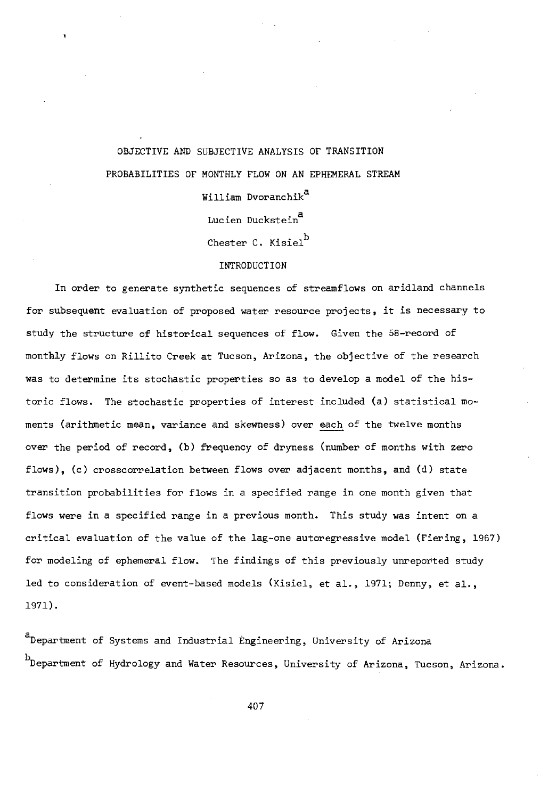## OBJECTIVE AND SUBJECTIVE ANALYSIS OF TRANSITION PROBABILITIES OF MONTHLY FLOW ON AN EPHEMERAL STREAM William Dvoranchik<sup>a</sup> Lucien Duckstein<sup>a</sup> Chester C. Kisiel<sup>b</sup> **INTRODUCTION**

In order to generate synthetic sequences of streamflows on aridland channels for subsequent evaluation of proposed water resource projects, it is necessary to study the structure of historical sequences of flow. Given the 58-record of monthly flows on Rillito Creek at Tucson, Arizona, the objective of the research was to determine its stochastic properties so as to develop a model of the historic flows. The stochastic properties of interest included (a) statistical moments (arithmetic mean, variance and skewness) over each of the twelve months over the period of record, (b) frequency of dryness (number of months with zero flows), (c) crosscorrelation between flows over adjacent months, and (d) state transition probabilities for flows in a specified range in one month given that flows were in a specified range in a previous month. This study was intent on a critical evaluation of the value of the lag -one autoregressive model (Fiering, 1967) for modeling of ephemeral flow. The findings of this previously unreported study led to consideration of event-based models (Kisiel, et al., 1971; Denny, et al., 1971).

<sup>a</sup>Department of Systems and Industrial Engineering, University of Arizona b<br>Department of Hydrology and Water Resources, University of Arizona, Tucson, Arizona.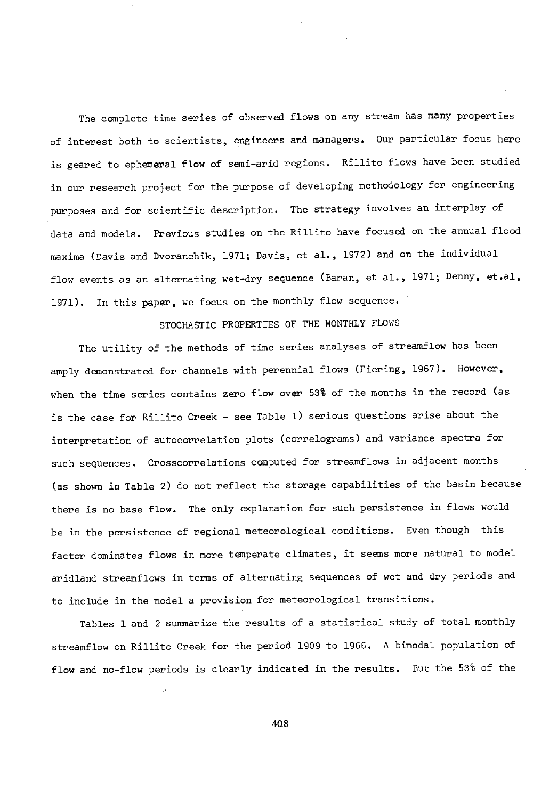The complete time series of observed flows on any stream has many properties of interest both to scientists, engineers and managers. Our particular focus here is geared to ephemeral flow of semi-arid regions. Rillito flows have been studied in our research project for the purpose of developing methodology for engineering purposes and for scientific description. The strategy involves an interplay of data and models. Previous studies on the Rillito have focused on the annual flood maxima (Davis and Dvoranchik, 1971; Davis, et al., 1972) and on the individual flow events as an alternating wet -dry sequence (Baran, et al., 1971; Denny, et.al, 1971). In this paper, we focus on the monthly flow sequence.

## STOCHASTIC PROPERTIES OF THE MONTHLY FLOWS

The utility of the methods of time series analyses of streamflow has been amply demonstrated for channels with perennial flows (Fiering, 1967). However, when the time series contains zero flow over 53% of the months in the record (as is the case for Rillito Creek - see Table 1) serious questions arise about the interpretation of autocorrelation plots (correlograms) and variance spectra for such sequences. Crosscorrelations computed for streamflows in adjacent months (as shown in Table 2) do not reflect the storage capabilities of the basin because there is no base flow. The only explanation for such persistence in flows would be in the persistence of regional meteorological conditions. Even though this factor dominates flows in more temperate climates, it seems more natural to model aridland streamflows in terms of alternating sequences of wet and dry periods and to include in the model a provision for meteorological transitions.

Tables 1 and 2 summarize the results of a statistical study of total monthly streamflow on Rillito Creek for the period 1909 to 1966. A bimodal population of flow and no-flow periods is clearly indicated in the results. But the 53% of the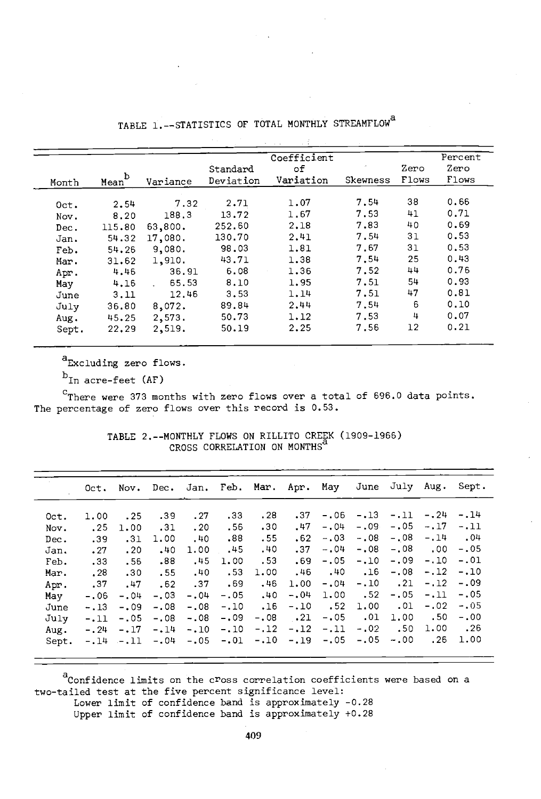| Month | Mean <sup>b</sup> | Variance                     | Standard<br>Deviation | Coefficient<br>оf<br>Variation | Skewness | Zero<br>Flows | Percent<br>Zero<br>Flows |
|-------|-------------------|------------------------------|-----------------------|--------------------------------|----------|---------------|--------------------------|
|       |                   |                              | 2.71                  | 1.07                           | 7.54     | 38            | 0.66                     |
| Oct.  | 2.54              | 7.32                         |                       |                                |          |               |                          |
| Nov.  | 8.20              | 188.3                        | 13.72                 | 1.67                           | 7.53     | 41            | 0.71                     |
| Dec.  | 115.80            | 63,800.                      | 252.60                | 2.18                           | 7.83     | 40            | 0.69                     |
| Jan.  | 54.32             | 17,080.                      | 130.70                | 2.41                           | 7.54     | 31            | 0.53                     |
| Feb.  | 54.26             | 9.080.                       | 98.03                 | 1.81                           | 7.67     | 31            | 0.53                     |
| Mar.  | 31.62             | 1,910.                       | 43.71                 | 1.38                           | 7.54     | 25            | 0.43                     |
| Apr.  | 4.46              | 36.91                        | 6.08                  | 1.36                           | 7.52     | 44            | 0.76                     |
| May   | 4.16              | 65.53<br>$\mathcal{L}^{\pm}$ | 8.10                  | 1.95                           | 7.51     | 54            | 0.93                     |
| June  | 3.11              | 12.46                        | 3.53                  | 1.14                           | 7.51     | 47            | 0.81                     |
| July  | 36.80             | 8,072.                       | 89.84                 | 2.44                           | 7.54     | 6             | 0.10                     |
| Aug.  | 45.25             | 2,573.                       | 50.73                 | 1.12                           | 7.53     | 4             | 0.07                     |
| Sept. | 22.29             | 2,519.                       | 50.19                 | 2.25                           | 7.56     | 12            | 0.21                     |

TABLE 1. -- STATISTICS OF TOTAL MONTHLY STREAMFLOW<sup>a</sup>

a<sub>Excluding zero flows.</sub>

 $b_{In}$  acre-feet (AF)

°There were 373 months with zero flows over a total of 696.0 data points. The percentage of zero flows over this record is 0.53.

> TABLE 2.-- MONTHLY FLOWS ON RILLITO CREEK (1909 -1966) CROSS CORRELATION ON MONTHS~

|         |        |        |        |        |                  |                                |            | Oct. Nov. Dec. Jan. Feb. Mar. Apr. May June July Aug. Sept. |              |                 |                    |                 |
|---------|--------|--------|--------|--------|------------------|--------------------------------|------------|-------------------------------------------------------------|--------------|-----------------|--------------------|-----------------|
| $0$ ct. | 1.00   | .25    | .39    | .27    | .33 <sub>°</sub> | .28                            | .37        |                                                             | $-.06 - .13$ |                 | $-.11 - .24 - .14$ |                 |
| Nov.    | .25    | 1.00   | .31    | .20    | .56              | .30                            | .47        | $-.04$                                                      | $-0.09$      | $-.05$          | $-.17-.11$         |                 |
| Dec.    | .39    | .31    | 1.00   | .40    | .88              | .55                            | .62        | $-.03$                                                      | $-.08$       | $-.08$          | $-.14$             | .04             |
| Jan.    | .27    | .20    | .40    | 1.00   | .45              | .40                            | .37        | $-.04$                                                      | $-.08$       | $-.08$          | .00                | $-.05$          |
| Feb.    | .33    | .56    | .88    | .45    | 1.00             | .53                            | .69        |                                                             | $-.05-.10$   | $-.09$          | $-.10$             | -.01            |
| Mar.    | .28    | .30    | . 55   | .40    | .53              | 1.00                           | .46        | .40                                                         | .16          | $-.08$          | $-.12$             | $-.10$          |
| Apr.    | .37    | .47    | .62    | .37    | .69              | .46                            | 1.00       |                                                             | $-.04-.10$   | $\overline{21}$ | $-.12$             | -.09            |
| May     | $-.06$ | $-.04$ | $-.03$ | $-.04$ | $-.05$           | .40                            | $-.04$     | 1.00                                                        | .52          | $-.05$          | $-.11-.05$         |                 |
| June    | $-.13$ | $-.09$ | $-.08$ | $-.08$ | $-.10$           | .16                            | $-10$      | .52                                                         | 1.00         | .Ol             | $-.02$             | $-.05$          |
| July    | $-.11$ | $-.05$ | $-.08$ | $-.08$ | $-.09$           | $-.08$                         | $\cdot$ 21 | $-.05$                                                      | .01          | 1.00            |                    | $.50 - .00$     |
| Aug.    | $-.24$ | $-17$  | $-.14$ | $-.10$ | $-.10$           | $-.12$                         | $-12$      |                                                             | $-.11-.02$   | .50             | 1.00               | $\overline{26}$ |
| Sept.   |        |        |        |        |                  | $-.14-.11-.04-.05-.01-.10-.19$ |            | $-.05$                                                      | $-.05$       | $-.00$          | .26                | 1.00            |

 $a^2$ Confidence limits on the cross correlation coefficients were based on a two -tailed test at the five percent significance level:

Lower limit of confidence band is approximately -0.28

Upper limit of confidence band is approximately +0.28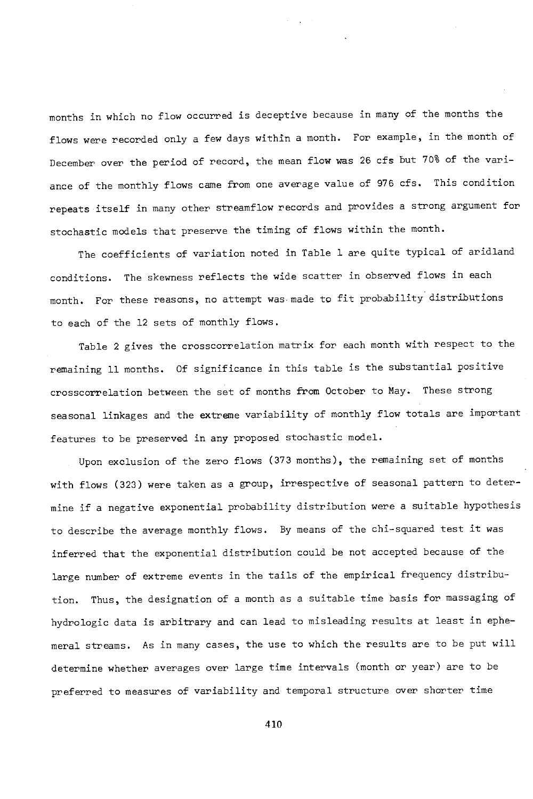months in which no flow occurred is deceptive because in many of the months the flows were recorded only a few days within a month. For example, in the month of December over the period of record, the mean flow was 26 cfs but 70% of the variance of the monthly flows came from one average value of 976 cfs. This condition repeats itself in many other streamflow records and provides a strong argument for stochastic models that preserve the timing of flows within the month.

The coefficients of variation noted in Table 1 are quite typical of aridland conditions. The skewness reflects the wide scatter in observed flows in each month. For these reasons, no attempt was made to fit probability distributions to each of the 12 sets of monthly flows.

Table 2 gives the crosscorrelation matrix for each month with respect to the remaining 11 months. Of significance in this table is the substantial positive crosscorrelation between the set of months from October to May. These strong seasonal linkages and the extreme variability of monthly flow totals are important features to be preserved in any proposed stochastic model.

Upon exclusion of the zero flows (373 months), the remaining set of months with flows (323) were taken as a group, irrespective of seasonal pattern to determine if a negative exponential probability distribution were a suitable hypothesis to describe the average monthly flows. By means of the chi-squared test it was inferred that the exponential distribution could be not accepted because of the large number of extreme events in the tails of the empirical frequency distribution. Thus, the designation of a month as a suitable time basis for massaging of hydrologic data is arbitrary and can lead to misleading results at least in ephemeral streams. As in many cases, the use to which the results are to be put will determine whether averages over large time intervals (month or year) are to be preferred to measures of variability and temporal structure over shorter time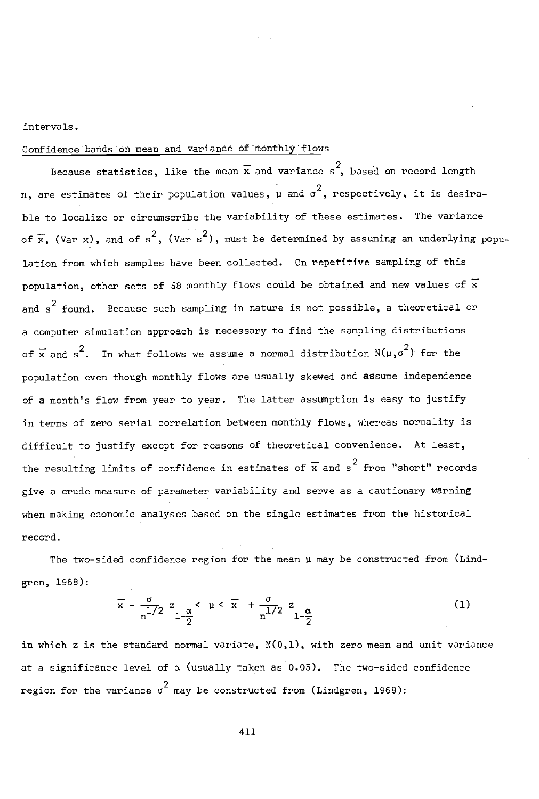intervals.

### Confidence bands on mean and variance of monthly flows

Because statistics, like the mean  $\bar{x}$  and variance s, based on record length n, are estimates of their population values,  $\mu$  and  $\sigma^2$ , respectively, it is desirable to localize or circumscribe the variability of these estimates. The variance of  $\bar{x}$ , (Var x), and of s<sup>2</sup>, (Var s<sup>2</sup>), must be determined by assuming an underlying population from which samples have been collected. On repetitive sampling of this population, other sets of 58 monthly flows could be obtained and new values of  $\overline{x}$ and  $s^2$  found. Because such sampling in nature is not possible, a theoretical or a computer simulation approach is necessary to find the sampling distributions of  $\bar{x}$  and s<sup>2</sup>. In what follows we assume a normal distribution  $N(\mu,\sigma^2)$  for the population even though monthly flows are usually skewed and assume independence of a month's flow from year to year. The latter assumption is easy to justify in terms of zero serial correlation between monthly flows, whereas normality is difficult to justify except for reasons of theoretical convenience. At least, the resulting limits of confidence in estimates of  $\bar{x}$  and  $s^2$  from "short" records give a crude measure of parameter variability and serve as a cautionary warning when making economic analyses based on the single estimates from the historical record.

The two-sided confidence region for the mean  $\mu$  may be constructed from (Lindgren, 1968):

$$
\overline{x} - \frac{\sigma}{n^{1/2}} z_{1-\frac{\alpha}{2}} < \mu < \overline{x} + \frac{\sigma}{n^{1/2}} z_{1-\frac{\alpha}{2}}
$$
 (1)

in which z is the standard normal variate,  $N(0,1)$ , with zero mean and unit variance at a significance level of  $\alpha$  (usually taken as 0.05). The two-sided confidence region for the variance  $\sigma^2$  may be constructed from (Lindgren, 1968):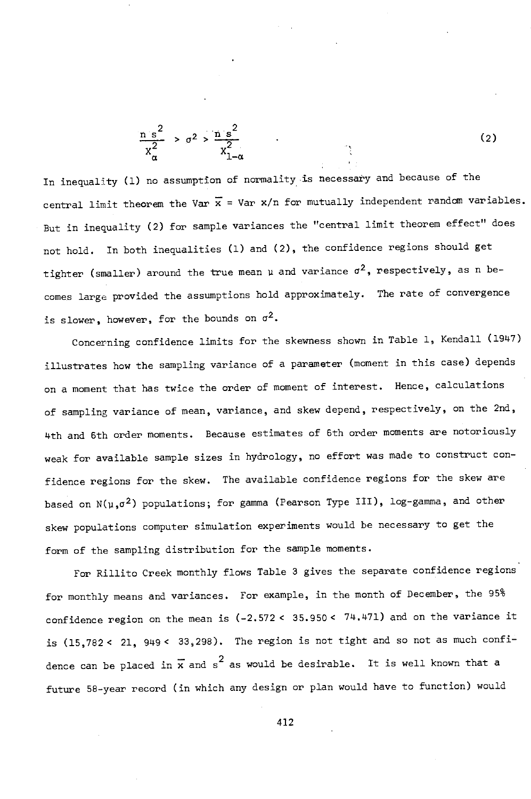$$
\frac{n s^2}{x_\alpha^2} > \sigma^2 > \frac{n s^2}{x_{1-\alpha}^2} \tag{2}
$$

In inequality (1) no assumption of normality is necessary and because of the central limit theorem the Var  $\bar{x}$  = Var x/n for mutually independent random variables. But in inequality (2) for sample variances the "central limit theorem effect" does not hold. In both inequalities (1) and (2), the confidence regions should get tighter (smaller) around the true mean  $\mu$  and variance  $\sigma^2$ , respectively, as n becomes large provided the assumptions hold approximately. The rate of convergence is slower, however, for the bounds on  $\sigma^2$ .

Concerning confidence limits for the skewness shown in Table 1, Kendall (1947) illustrates how the sampling variance of a parameter (moment in this case) depends on a moment that has twice the order of moment of interest. Hence, calculations of sampling variance of mean, variance, and skew depend, respectively, on the 2nd, 4th and 6th order moments. Because estimates of 6th order moments are notoriously weak for available sample sizes in hydrology, no effort was made to construct confidence regions for the skew. The available confidence regions for the skew are based on  $N(\mu,\sigma^2)$  populations; for gamma (Pearson Type III), log-gamma, and other skew populations computer simulation experiments would be necessary to get the form of the sampling distribution for the sample moments.

For Rillito Creek monthly flows Table 3 gives the separate confidence regions for monthly means and variances. For example, in the month of December, the 95% confidence region on the mean is ( -2.572 < 35.950 < 74.471) and on the variance it is (15,782< 21, 949 < 33,298). The region is not tight and so not as much confidence can be placed in  $\overline{x}$  and s<sup>2</sup> as would be desirable. It is well known that a future 58 -year record (in which any design or plan would have to function) would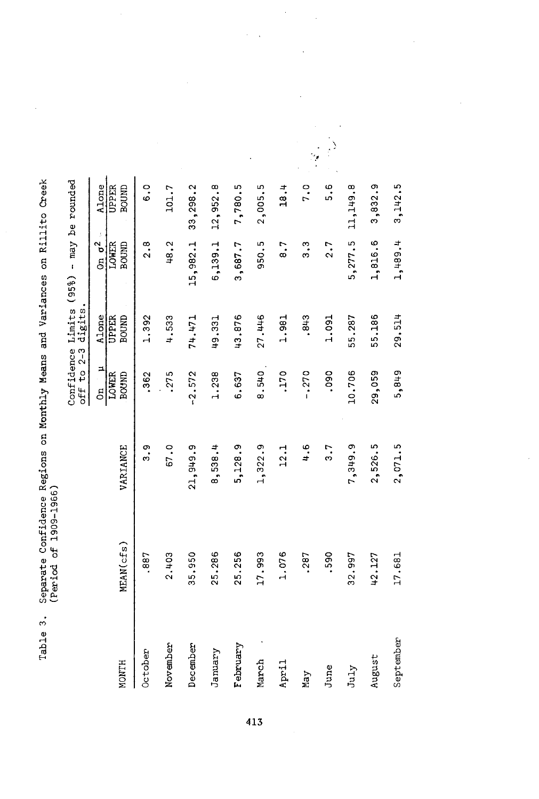| <b>CINET - 1999</b>                                       |                             |
|-----------------------------------------------------------|-----------------------------|
|                                                           |                             |
| Thes on Rillian                                           |                             |
|                                                           |                             |
| i Mid Clic                                                |                             |
| chance Renicme on Monthly Merce and Inspira<br>THINK ES c |                             |
|                                                           |                             |
|                                                           |                             |
|                                                           | くくくじ くくくじ<br>ゴーンコー コン・チンキ ミ |
|                                                           |                             |
| ジントリー しょうしょう                                              |                             |

| MEAN(cfs)     | VARIANCE      | $\frac{1}{2}$<br>LOWER<br>BOUND | $\frac{\text{Alone}}{\text{UPER}}$<br>BOUND | Confidence Limits (95%) - may be rounded<br>off to 2-3 digits.<br>$rac{\sigma^2}{\sigma^2}$<br>BOUND<br><b>LOWER</b> | Alone<br>BOUND<br>UPPER |
|---------------|---------------|---------------------------------|---------------------------------------------|----------------------------------------------------------------------------------------------------------------------|-------------------------|
| 2.403<br>.887 | 3.9<br>67.0   | .275<br>.362                    | 4.533<br>1.392                              | 48.2<br>2.8                                                                                                          | $\ddot{\circ}$<br>101.7 |
| 35.950        | 21,949.9      | $-2.572$                        | 74.471                                      | 15,982.1                                                                                                             | 33,298.2                |
| 25,286        | 8,538.4       | 1.238                           | 49.331                                      | 6,139.1                                                                                                              | 12,952.8                |
| 25.256        | 5,128.9       | 6.637                           | 43.876                                      | 3,687.7                                                                                                              | 7,780.5                 |
| 17.993        | 1,322.9       | 8.540                           | 27.446                                      | 950.5                                                                                                                | 2,005.5                 |
| 1.076         | 12.1          | .170                            | 1.981                                       | $\ddot{8}$ .                                                                                                         | 18.4                    |
| .287          | $\frac{6}{4}$ | $-.270$                         | .843                                        | ი<br>ი                                                                                                               | 7.0                     |
| .590          | 3.7           | .090                            | 1.091                                       | 2.7                                                                                                                  | 6<br>5                  |
| 32.997        | 7,349.9       | 10,706                          | 55.287                                      | 5,277.5                                                                                                              | 11,149.8                |
| 42,127        | 2,526.5       | 29,059                          | 55.186                                      | 1,816.6                                                                                                              | 3,832.9                 |
| 17.681        | 2,071.5       | 5,849                           | 29.514                                      | 1,489.4                                                                                                              | 3,142.5                 |

 $\ddot{\phantom{0}}$ 

l,

l,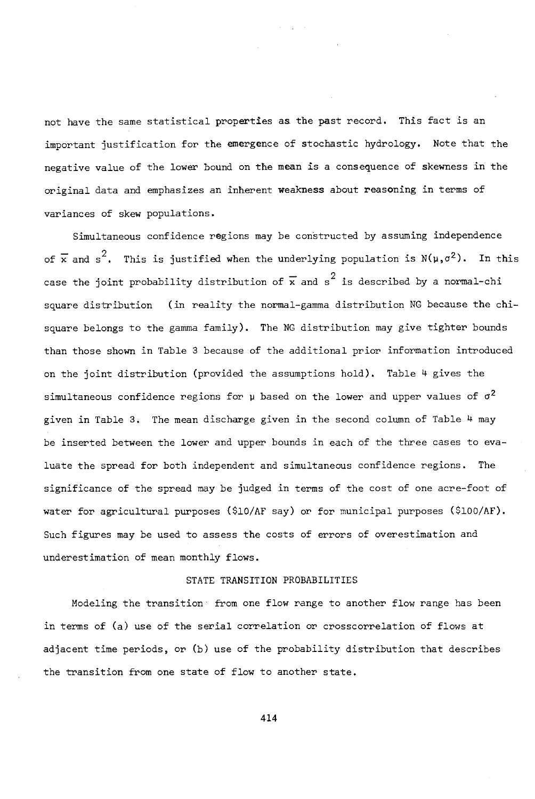not have the same statistical properties as the past record. This fact is an important justification for the emergence of stochastic hydrology. Note that the negative value of the lower bound on the mean is a consequence of skewness in the original data and emphasizes an inherent weakness about reasoning in terms of variances of skew populations.

Simultaneous confidence regions may be constructed by assuming independence of  $\overline{x}$  and s<sup>2</sup>. This is justified when the underlying population is N(µ, $\sigma^2$ ). In this case the joint probability distribution of  $\overline{x}$  and s<sup>2</sup> is described by a normal-chi square distribution (in reality the normal-gamma distribution NG because the chisquare belongs to the gamma family). The NG distribution may give tighter bounds than those shown in Table 3 because of the additional prior information introduced on the joint distribution (provided the assumptions hold). Table 4 gives the simultaneous confidence regions for  $\mu$  based on the lower and upper values of  $\sigma^2$ given in Table 3. The mean discharge given in the second column of Table 4 may be inserted between the lower and upper bounds in each of the three cases to evaluate the spread for both independent and simultaneous confidence regions. The significance of the spread may be judged in terms of the cost of one acre -foot of water for agricultural purposes (\$10/AF say) or for municipal purposes (\$100/AF). Such figures may be used to assess the costs of errors of overestimation and underestimation of mean monthly flows.

#### STATE TRANSITION PROBABILITIES

Modeling the transition from one flow range to another flow range has been in terms of (a) use of the serial correlation or crosscorrelation of flows at adjacent time periods, or (b) use of the probability distribution that describes the transition from one state of flow to another state.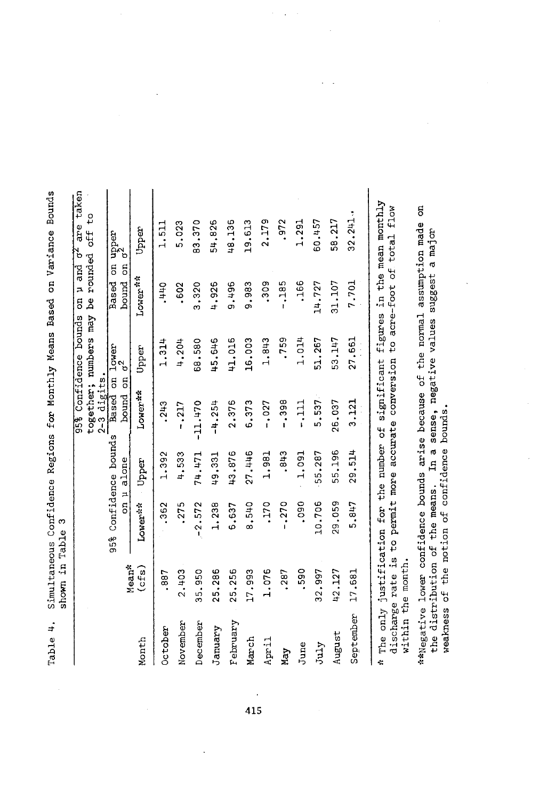|           |                                        |                                                                                                                               |                                              | digits<br>$2-3$                                   | together; numbers may<br>95% Confidence bounds | be rounded<br>u and<br>5                           | taker<br>°‡<br>are<br>off<br>ď     |
|-----------|----------------------------------------|-------------------------------------------------------------------------------------------------------------------------------|----------------------------------------------|---------------------------------------------------|------------------------------------------------|----------------------------------------------------|------------------------------------|
|           | Mean*                                  | ã<br>95%                                                                                                                      | Confidence bounds<br>alone<br>$\overline{a}$ | bound<br>Based                                    | $\frac{1}{3}$ ower<br>5<br>5                   | $\overline{5}$<br>$\overline{5}$<br>Based<br>bound | upper<br>o <sup>2</sup>            |
| Month     | (cfs)                                  | Lower**                                                                                                                       | Upper                                        | Lower <sup>st</sup>                               | Upper                                          | Lower <sup>**</sup>                                | Upper                              |
| October   | .887                                   | .362                                                                                                                          | 1.392                                        | .243                                              | 1.314                                          | -440                                               | 1.511                              |
| November  | 2.403                                  | .275                                                                                                                          | 4.533                                        | $-0.217$                                          | 4,204                                          | .602                                               | 5.023                              |
| December  | 35.950                                 | 2.572<br>ŧ,                                                                                                                   | 74.471                                       | $-11.470$                                         | 68.580                                         | 3.320                                              | 83,370                             |
| January   | 25,286                                 | 1.238                                                                                                                         | 49.331                                       | $-4.254$                                          | 45.646                                         | 4,926                                              | 54,826                             |
| February  | 25,256                                 | 6.637                                                                                                                         | 43.876                                       | 2.376                                             | 41.016                                         | 9.4496                                             | 48.136                             |
| March     | 17.993                                 | 8,540                                                                                                                         | 27.446                                       | 6.373                                             | 16.003                                         | 9.983                                              | 19.613                             |
| April     | 1.076                                  | .170                                                                                                                          | 1.981                                        | $-0.027$                                          | 1,843                                          | .309                                               | 2.179                              |
| May       | .287                                   | $-0.270$                                                                                                                      | .843                                         | -.398                                             | .759                                           | $-185$                                             | .972                               |
| June      | ,590                                   | .090                                                                                                                          | 1.091                                        | 111<br>1                                          | 1.014                                          | .166                                               | 1.291                              |
| July      | 32,997                                 | 10.706                                                                                                                        | 55.287                                       | 5.537                                             | 51.267                                         | 14.727                                             | 60.457                             |
| August    | 42.127                                 | 29,059                                                                                                                        | 55.196                                       | 26.037                                            | 53.147                                         | 31,107                                             | 58.217                             |
| September | 17.681                                 | 5.847                                                                                                                         | 29.514                                       | 3.121                                             | 27.661                                         | 7.701                                              | 32.241                             |
| ÷         | discharge rate is<br>within the month. | The only justification for the number of                                                                                      |                                              | to permit more accurate conversion<br>significant | figures                                        | to acre-foot of total                              | in the mean monthly<br><b>flow</b> |
|           |                                        | **Negative lower confidence bounds arise because of<br>weakness of the notion of confidence<br>the distribution of the means. | IJ<br>ដ<br>                                  | bounds                                            | the normal<br>sense, negative values           | assumption made<br>suggest                         | 5<br>major<br>್<br>ನ               |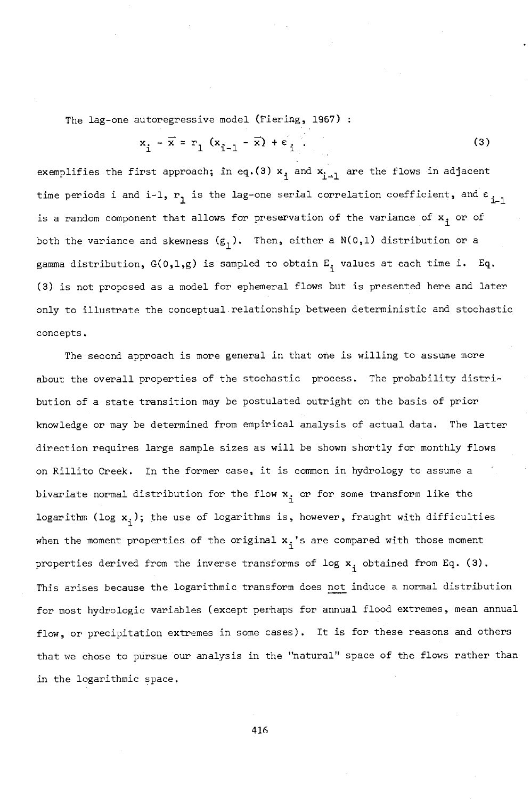The lag-one autoregressive model (Fiering, 1967) :

$$
x_{i} - \overline{x} = r_{1} (x_{i-1} - \overline{x}) + \varepsilon_{i} \tag{3}
$$

exemplifies the first approach; in eq.(3)  $x_i$  and  $x_{i-1}$  are the flows in adjacent time periods i and i-1,  $r_1$  is the lag-one serial correlation coefficient, and  $\varepsilon_{i-1}$ 1 is a random component that allows for preservation of the variance of  $x_i$  or of both the variance and skewness  $(g_1)$ . Then, either a N(0,1) distribution or a gamma distribution,  $G(0,1,g)$  is sampled to obtain  $E_i$  values at each time i. Eq. (3) is not proposed as a model for ephemeral flows but is presented here and later only to illustrate the conceptual relationship between deterministic and stochastic concepts.

The second approach is more general in that one is willing to assume more about the overall properties of the stochastic process. The probability distribution of a state transition may be postulated outright on the basis of prior knowledge or may be determined from empirical analysis of actual data. The latter direction requires large sample sizes as will be shown shortly for monthly flows on Rillito Creek. In the former case, it is common in hydrology to assume a bivariate normal distribution for the flow **x**, or for some transform like the logarithm (log  $x_i$ ); the use of logarithms is, however, fraught with difficulties when the moment properties of the original  $x_i$ 's are compared with those moment properties derived from the inverse transforms of log  $x_i$  obtained from Eq. (3). This arises because the logarithmic transform does not induce a normal distribution for most hydrologic variables (except perhaps for annual flood extremes, mean annual flow, or precipitation extremes in some cases). It is for these reasons and others that we chose to pursue our analysis in the "natural" space of the flows rather than in the logarithmic space.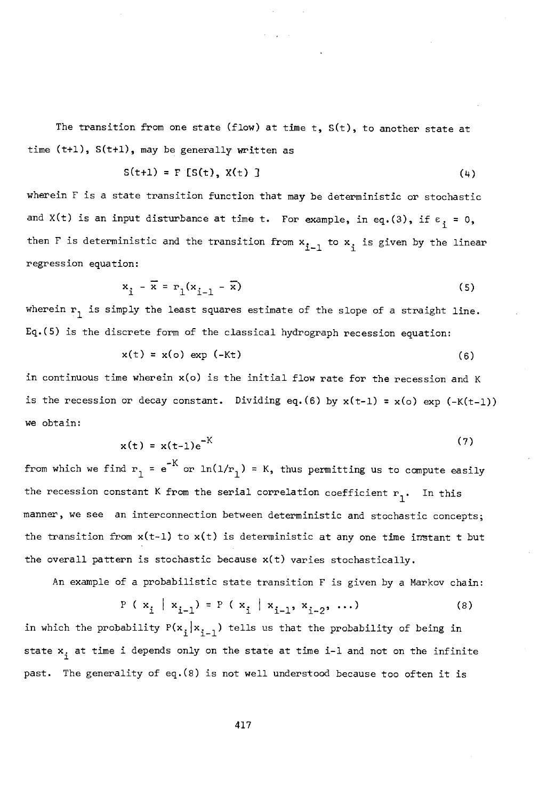The transition from one state (flow) at time  $t$ ,  $S(t)$ , to another state at time  $(t+1)$ ,  $S(t+1)$ , may be generally written as

$$
S(t+1) = F [S(t), X(t)] \tag{4}
$$

wherein F is a state transition function that may be deterministic or stochastic and X(t) is an input disturbance at time t. For example, in eq.(3), if  $\varepsilon$ <sub>i</sub> = 0, then F is deterministic and the transition from  $\mathsf{x}_{\mathbf{i}-1}^{\phantom{\dag}}$  to  $\mathsf{x}_{\mathbf{i}}^{\phantom{\dag}}$  is given by the linear regression equation:

$$
x_{i} - \overline{x} = r_{1}(x_{i-1} - \overline{x})
$$
\n<sup>(5)</sup>

wherein  $r_1$  is simply the least squares estimate of the slope of a straight line. Eq.(5) is the discrete form of the classical hydrograph recession equation:

$$
x(t) = x(o) \exp(-Kt) \tag{6}
$$

in continuous time wherein x(o) is the initial flow rate for the recession and K is the recession or decay constant. Dividing eq. (6) by  $x(t-1) = x(0)$  exp (-K(t-1)) we obtain:

$$
x(t) = x(t-1)e^{-K}
$$
 (7)

from which we find  $r_1 = e^{-K}$  or  $ln(1/r_1) = K$ , thus permitting us to compute easily the recession constant K from the serial correlation coefficient  $r_1$ . In this manner, we see an interconnection between deterministic and stochastic concepts; the transition from  $x(t-1)$  to  $x(t)$  is deterministic at any one time instant t but the overall pattern is stochastic because  $x(t)$  varies stochastically.

An example of a probabilistic state transition F is given by a Markov chain:

$$
P(x_i | x_{i-1}) = P(x_i | x_{i-1}, x_{i-2}, \dots)
$$
 (8)

in which the probability  $P(x_i | x_{i-1})$  tells us that the probability of being in state  $x_i$  at time i depends only on the state at time i-1 and not on the infinite past. The generality of eq.(8) is not well understood because too often it is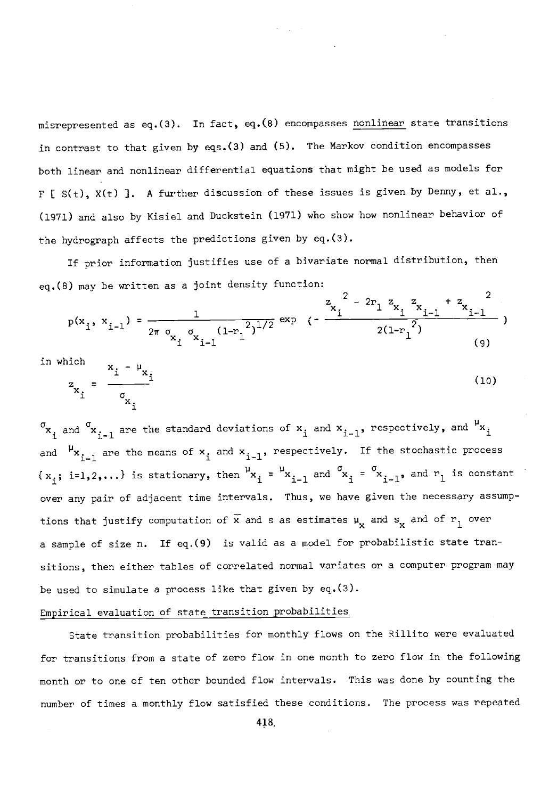misrepresented as eq.(3). In fact, eq.(8) encompasses nonlinear state transitions in contrast to that given by eqs.(3) and (5). The Markov condition encompasses both linear and nonlinear differential equations that might be used as models for F [  $S(t)$ ,  $X(t)$  ]. A further discussion of these issues is given by Denny, et al., (1971) and also by Kisiel and Duckstein (1971) who show how nonlinear behavior of the hydrograph affects the predictions given by eq.(3).

If prior information justifies use of a bivariate normal distribution, then eq.(8) may be written as a joint density function:

$$
p(x_i, x_{i-1}) = \frac{1}{2\pi \sigma_{x_i} \sigma_{x_{i-1}} (1 - r_1^2)^{1/2}} \exp \left(-\frac{z_i^2 - 2r_1 z_{x_i} z_{i-1} + z_{x_{i-1}}^2}{2(1 - r_1^2)}\right)
$$
\n(9)

in which

$$
z_{x_i} = \frac{x_i - \mu_{x_i}}{\sigma_{x_i}}
$$
 (10)

 $\mathbf{x}_{\mathtt{i}}$  and  $\mathbf{x}_{\mathtt{i-1}}$  are the standard deviations of  $\mathbf{x}_{\mathtt{i}}$  and  $\mathbf{x}_{\mathtt{i-1}}$ , respectively, and  $\mathbf{x}_{\mathtt{i}}$ and  $\mu_{x_{i-1}}$  are the means of  $x_i$  and  $x_{i-1}$ , respectively. If the stochastic process  $\{x_i; i=1,2,\ldots\}$  is stationary, then  $\mathsf{h}_{x_i}$  =  $\mathsf{h}_{x_{i-1}}$  and  $\mathsf{h}_{x_i}$  =  $\mathsf{h}_{x_{i-1}}$ , and  $\mathsf{h}_{x_i}$  is constant over any pair of adjacent time intervals. Thus, we have given the necessary assumptions that justify computation of  $\overline{x}$  and s as estimates  $\mu_{\mathbf{y}}$  and  $s_{\mathbf{y}}$  and of  $r_1$  over a sample of size n. If eq.(9) is valid as a model for probabilistic state transitions, then either tables of correlated normal variates or a computer program may be used to simulate a process like that given by eq.(3).

### Empirical evaluation of state transition probabilities

State transition probabilities for monthly flows on the Riilito were evaluated for transitions from a state of zero flow in one month to zero flow in the following month or to one of ten other bounded flow intervals. This was done by counting the number of times a monthly flow satisfied these conditions. The process was repeated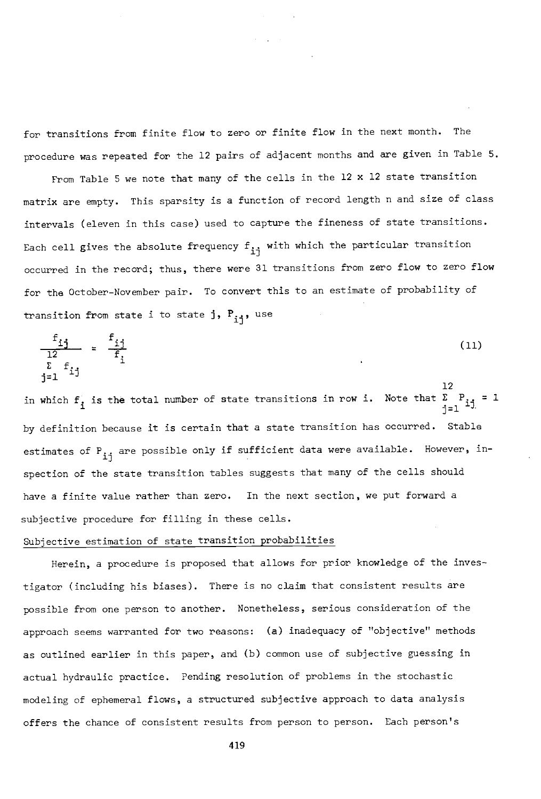for transitions from finite flow to zero or finite flow in the next month. The procedure was repeated for the 12 pairs of adjacent months and are given in Table 5.

From Table 5 we note that many of the cells in the 12 x 12 state transition matrix are empty. This sparsity is a function of record length n and size of class intervals (eleven in this case) used to capture the fineness of state transitions. Each cell gives the absolute frequency  $f_{i,j}$  with which the particular transition occurred in the record; thus, there were 31 transitions from zero flow to zero flow for the October -November pair. To convert this to an estimate of probability of transition from state i to state j,  $P_{i,j}$ , use

$$
\frac{f_{ij}}{12} = \frac{f_{ij}}{f_i}
$$
\n
$$
\sum_{j=1}^{L} f_{ij}
$$
\n(11)

12 in which  $f_i$  is the total number of state transitions in row i. Note that  $\sum_{i=1}^P i j = 1$ by definition because it is certain that a state transition has occurred. Stable estimates of  $P_{i,i}$  are possible only if sufficient data were available. However, inspection of the state transition tables suggests that many of the cells should have a finite value rather than zero. In the next section, we put forward a subjective procedure for filling in these cells.

## Subjective estimation of state transition probabilities

Herein, a procedure is proposed that allows for prior knowledge of the investigator (including his biases). There is no claim that consistent results are possible from one person to another. Nonetheless, serious consideration of the approach seems warranted for two reasons: (a) inadequacy of "objective" methods as outlined earlier in this paper, and (b) common use of subjective guessing in actual hydraulic practice. Pending resolution of problems in the stochastic modeling of ephemeral flows, a structured subjective approach to data analysis offers the chance of consistent results from person to person. Each person's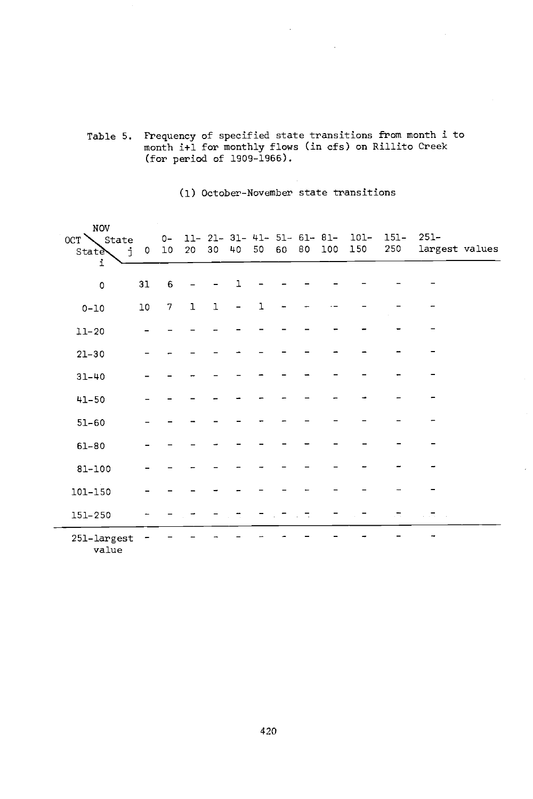#### Table 5. Frequency of specified state transitions from month i to month i+1 for monthly flows (in cfs) on Rillito Creek (for period of 1909 -1966).

#### (1) October- November state transitions

| NOV<br>$OCT \setminus$ State<br><b>State</b><br>j.<br>i | $\circ$ | $O -$<br>10 | 20 30        |        | 40 | 50           | 60 | 80 | 100 | $11-21-31-41-51-61-81-101-$<br>150 | 151-<br>250 | $251 -$<br>largest values |
|---------------------------------------------------------|---------|-------------|--------------|--------|----|--------------|----|----|-----|------------------------------------|-------------|---------------------------|
| $\circ$                                                 | 31      | 6           |              |        | ı  |              |    |    |     |                                    |             |                           |
| $0 - 10$                                                | $10$    | 7           | $\mathbf{1}$ | $\,$ 1 |    | $\mathbf{1}$ |    |    |     |                                    |             |                           |
| $11 - 20$                                               |         |             |              |        |    |              |    |    |     |                                    |             |                           |
| $21 - 30$                                               |         |             |              |        |    |              |    |    |     |                                    |             |                           |
| $31 - 40$                                               |         |             |              |        |    |              |    |    |     |                                    |             |                           |
| $41 - 50$                                               |         |             |              |        |    |              |    |    |     |                                    |             |                           |
| $51 - 60$                                               |         |             |              |        |    |              |    |    |     |                                    |             |                           |
| $61 - 80$                                               |         |             |              |        |    |              |    |    |     |                                    |             |                           |
| 81-100                                                  |         |             |              |        |    |              |    |    |     |                                    |             |                           |
| 101-150                                                 |         |             |              |        |    |              |    |    |     |                                    |             |                           |
| 151-250                                                 |         |             |              |        |    |              |    |    |     |                                    |             | 11 July 1                 |
| 251-largest                                             |         |             |              |        |    |              |    |    |     |                                    |             |                           |

value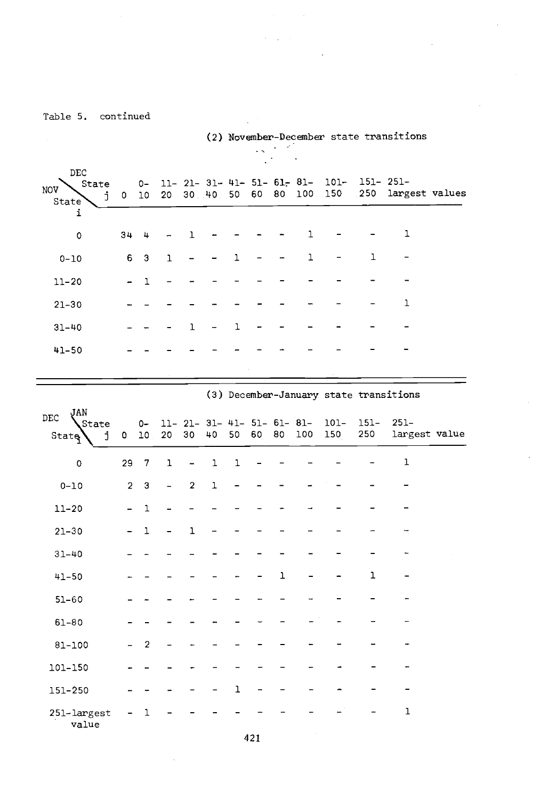|                                                                         |                          |                           |       |                |    |             |      |    |                                    |                                     |                | (2) November-December state transitions |  |
|-------------------------------------------------------------------------|--------------------------|---------------------------|-------|----------------|----|-------------|------|----|------------------------------------|-------------------------------------|----------------|-----------------------------------------|--|
| DEC                                                                     |                          |                           |       |                |    |             |      |    |                                    |                                     |                |                                         |  |
| State<br>NOV<br>j.<br>State                                             | $\mathbf{0}$             | $O -$<br>10 <sup>10</sup> | 20    |                |    | 30.40.50 60 |      | 80 | 100 150                            | $11-21-31-41-51-61-81-101-151-251-$ | 250            | largest values                          |  |
| i                                                                       |                          |                           |       |                |    |             |      |    |                                    |                                     |                |                                         |  |
| 0                                                                       | 34                       | 4                         |       | ı              |    |             |      |    | ı                                  |                                     |                | ı                                       |  |
| $0 - 10$                                                                | 6                        | 3                         | 1     |                |    | ı           |      |    | 1                                  |                                     | 1              | -                                       |  |
| $11 - 20$                                                               | -                        | ı                         |       |                |    |             |      |    |                                    |                                     |                | $\overline{a}$                          |  |
| $21 - 30$                                                               |                          |                           |       |                |    |             |      |    |                                    |                                     |                | ı                                       |  |
| $31 - 40$                                                               |                          |                           |       | ı              | -  | 1           |      |    |                                    |                                     |                |                                         |  |
| $41 - 50$                                                               |                          |                           |       |                |    |             |      |    |                                    |                                     |                |                                         |  |
|                                                                         |                          |                           |       |                |    |             |      |    |                                    |                                     |                |                                         |  |
|                                                                         |                          |                           |       |                |    |             |      |    |                                    |                                     |                | (3) December-January state transitions  |  |
| JAN<br>DEC<br>State<br>j<br>$Start$ <sup><math>\frac{1}{2}</math></sup> | 0                        | $0-$                      | 10 20 | 30             | 40 | 50          | - 60 | 80 | 11- 21- 31- 41- 51- 61- 81-<br>100 | 101-<br>150                         | $151 -$<br>250 | $251 -$<br>largest value                |  |
| 0                                                                       | 29                       | 7                         |       |                | ı  | ı           |      |    |                                    |                                     |                | ı                                       |  |
|                                                                         |                          |                           | ı     | $\overline{a}$ |    |             |      |    |                                    |                                     |                |                                         |  |
| $0 - 10$                                                                | $\overline{2}$           | 3                         |       | 2              | ı  |             |      |    |                                    |                                     |                |                                         |  |
| $11 - 20$                                                               | L.                       | ı                         |       |                |    |             |      |    |                                    |                                     |                |                                         |  |
| $21 - 30$                                                               | $\overline{\phantom{0}}$ | ı                         |       | ı              |    |             |      |    |                                    |                                     |                |                                         |  |
| $31 - 40$                                                               |                          |                           |       |                |    |             |      |    |                                    |                                     |                |                                         |  |
| $41 - 50$                                                               |                          |                           |       |                |    |             |      | ı  |                                    |                                     | ı              |                                         |  |
| $51 - 60$                                                               |                          |                           |       |                |    |             |      |    |                                    |                                     |                |                                         |  |
| $61 - 80$                                                               |                          |                           |       |                |    |             |      |    |                                    |                                     |                |                                         |  |
| 81-100                                                                  |                          | 2                         |       |                |    |             |      |    |                                    |                                     |                |                                         |  |
| 101-150                                                                 |                          |                           |       |                |    |             |      |    |                                    |                                     |                |                                         |  |
| 151-250                                                                 |                          |                           |       |                |    | ı           |      |    |                                    |                                     |                |                                         |  |
| 251-largest<br>value                                                    | $\overline{\phantom{a}}$ | ı                         |       |                |    |             |      |    |                                    |                                     |                | 1                                       |  |

 $\mathcal{L} = \mathcal{L} \times \mathcal{L}$ 

 $\mathcal{L}$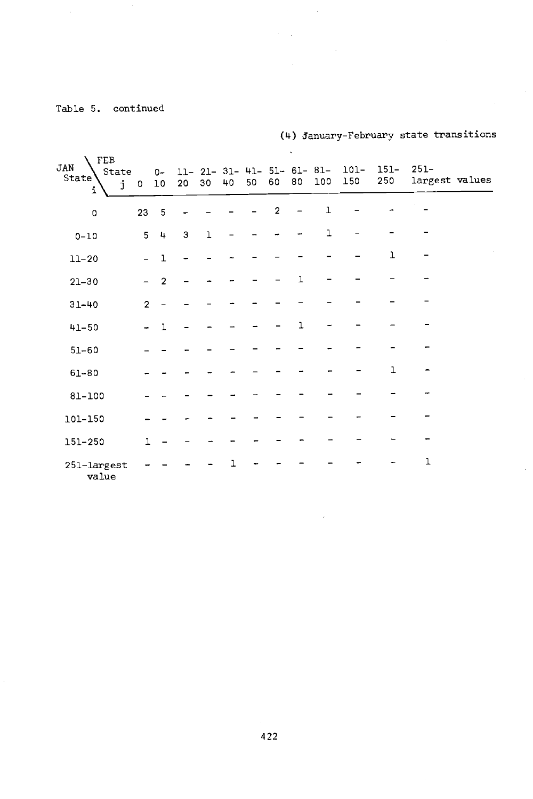$\bar{z}$ 

| FEB<br>JAN<br>State<br>State'<br>j<br>i | $\circ$        | $0-$<br>10     |   | 20 30        | 40 | 50 | 60             | 80 | $11 - 21 - 31 - 41 - 51 - 61 - 81 -$<br>100 | $101-$<br>150 | $151 -$<br>250 | $251 -$<br>largest values |  |
|-----------------------------------------|----------------|----------------|---|--------------|----|----|----------------|----|---------------------------------------------|---------------|----------------|---------------------------|--|
| $\circ$                                 | 23             | 5              |   |              |    |    | $\overline{2}$ |    | 1                                           |               |                |                           |  |
| $0 - 10$                                | 5              | $\frac{1}{2}$  | 3 | $\mathbf{I}$ |    |    |                |    | ı                                           |               |                |                           |  |
| $11 - 20$                               |                | $\mathbf 1$    |   |              |    |    |                |    |                                             |               | ı              |                           |  |
| $21 - 30$                               |                | $\overline{2}$ |   |              |    |    |                | ٦  |                                             |               |                |                           |  |
| $31 - 40$                               | $\overline{2}$ |                |   |              |    |    |                |    |                                             |               |                |                           |  |
| $41 - 50$                               |                | $\mathbf{1}$   |   |              |    |    |                | ٦  |                                             |               |                |                           |  |
| $51 - 60$                               |                |                |   |              |    |    |                |    |                                             |               |                |                           |  |
| $61 - 80$                               |                |                |   |              |    |    |                |    |                                             |               | ı              |                           |  |
| $81 - 100$                              |                |                |   |              |    |    |                |    |                                             |               |                |                           |  |
| 101-150                                 |                |                |   |              |    |    |                |    |                                             |               |                |                           |  |
| 151-250                                 | $\mathbf{1}$   |                |   |              |    |    |                |    |                                             |               |                |                           |  |
| 251-largest<br>value                    |                |                |   |              |    |    |                |    |                                             |               |                | $\mathbf 1$               |  |

l.

 $\mathcal{L}$ 

(4) January- February state transitions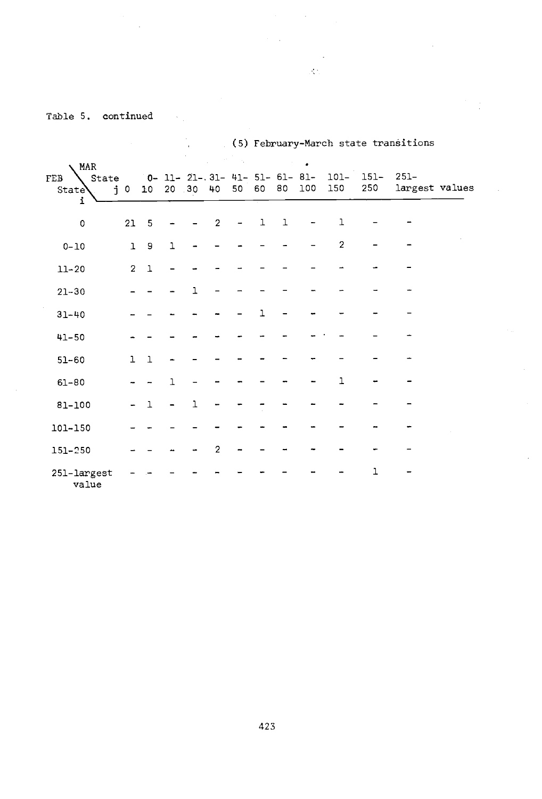$\frac{1}{\sqrt{2}}$ l,

(5) February -March state transitions

 $\mathcal{L}^{\mathcal{L}}$ 

| MAR                         |                |                 |              |              |                                                |    |              |              | ٠   |                |                      |                |  |
|-----------------------------|----------------|-----------------|--------------|--------------|------------------------------------------------|----|--------------|--------------|-----|----------------|----------------------|----------------|--|
| State<br>FEB<br>State\<br>i | $j$ 0          | 10 <sub>1</sub> |              | 20.30        | $0 - 11 - 21 - 31 - 41 - 51 - 61 - 81 -$<br>40 | 50 | 60           | 80           | 100 | 101-<br>150    | $151 - 251 -$<br>250 | largest values |  |
| 0                           | 21             | 5               |              |              | $\overline{2}$                                 |    | $\mathbf{1}$ | $\mathbf{1}$ |     | $\mathbf{1}$   |                      |                |  |
| $0 - 10$                    | $\mathbf{1}$   | 9               | $\mathbf{1}$ |              |                                                |    |              |              |     | $\overline{c}$ |                      |                |  |
| $11 - 20$                   | $\overline{2}$ | $\mathbf 1$     |              |              |                                                |    |              |              |     |                |                      |                |  |
| $21 - 30$                   |                |                 |              | ٦            |                                                |    |              |              |     |                |                      |                |  |
| $31 - 40$                   |                |                 |              |              |                                                |    |              |              |     |                |                      |                |  |
| $41 - 50$                   |                |                 |              |              |                                                |    |              |              |     |                |                      |                |  |
| $51 - 60$                   | $\mathbf{1}$   | $\mathbf{1}$    |              |              |                                                |    |              |              |     |                |                      |                |  |
| $61 - 80$                   |                |                 | ٦            |              |                                                |    |              |              |     | $\mathbf 1$    |                      |                |  |
| 81-100                      |                | $\mathbf{1}$    |              | $\mathbf{1}$ |                                                |    |              |              |     |                |                      |                |  |
| 101-150                     |                |                 |              |              |                                                |    |              |              |     |                |                      |                |  |
| 151-250                     |                |                 |              |              | 2                                              |    |              |              |     |                |                      |                |  |
| 251-largest<br>value        |                |                 |              |              |                                                |    |              |              |     |                | 1                    |                |  |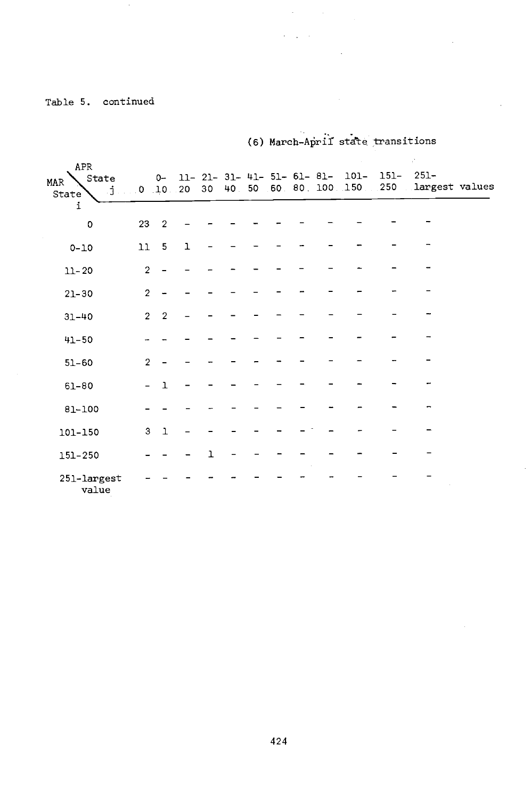(6) March-April state transitions

 $\label{eq:2} \frac{1}{\sqrt{2}}\left(\frac{1}{\sqrt{2}}\right)^{2} \left(\frac{1}{\sqrt{2}}\right)^{2} \left(\frac{1}{\sqrt{2}}\right)^{2} \left(\frac{1}{\sqrt{2}}\right)^{2} \left(\frac{1}{\sqrt{2}}\right)^{2} \left(\frac{1}{\sqrt{2}}\right)^{2} \left(\frac{1}{\sqrt{2}}\right)^{2} \left(\frac{1}{\sqrt{2}}\right)^{2} \left(\frac{1}{\sqrt{2}}\right)^{2} \left(\frac{1}{\sqrt{2}}\right)^{2} \left(\frac{1}{\sqrt{2}}\right)^{2} \left(\frac{$  $\mathcal{L}^{\mathcal{L}}(\mathcal{L}^{\mathcal{L}}(\mathcal{L}^{\mathcal{L}}))$  ,  $\mathcal{L}^{\mathcal{L}}(\mathcal{L}^{\mathcal{L}}(\mathcal{L}^{\mathcal{L}}))$ 

| APR                        |                |                |              |    |  |  |                                                |        | P.                                                |  |
|----------------------------|----------------|----------------|--------------|----|--|--|------------------------------------------------|--------|---------------------------------------------------|--|
| State<br>MAR<br>Ĵ<br>State |                |                | 0 10 20      | 30 |  |  | $0 - 11 - 21 - 31 - 41 - 51 - 61 - 81 - 101 -$ | $151-$ | $251 -$<br>40 50 60 80 100 150 250 largest values |  |
| i                          |                |                |              |    |  |  |                                                |        |                                                   |  |
| $\circ$                    | 23             | $\overline{2}$ |              |    |  |  |                                                |        |                                                   |  |
| $0 - 10$                   | $11\,$         | 5              | $\mathbf{1}$ |    |  |  |                                                |        |                                                   |  |
| $11 - 20$                  | $\overline{2}$ |                |              |    |  |  |                                                |        |                                                   |  |
| $21 - 30$                  | $\overline{2}$ |                |              |    |  |  |                                                |        |                                                   |  |
| $31 - 40$                  | $\overline{2}$ | $\overline{2}$ |              |    |  |  |                                                |        |                                                   |  |
| $41 - 50$                  |                |                |              |    |  |  |                                                |        |                                                   |  |
| $51 - 60$                  | $\overline{2}$ |                |              |    |  |  |                                                |        |                                                   |  |
| $61 - 80$                  |                | ٦              |              |    |  |  |                                                |        |                                                   |  |
| 81-100                     |                |                |              |    |  |  |                                                |        |                                                   |  |
| 101-150                    | 3              | $\mathbf{1}$   |              |    |  |  |                                                |        |                                                   |  |
| 151-250                    |                |                |              | ı  |  |  |                                                |        |                                                   |  |
| 251-largest<br>value       |                |                |              |    |  |  |                                                |        |                                                   |  |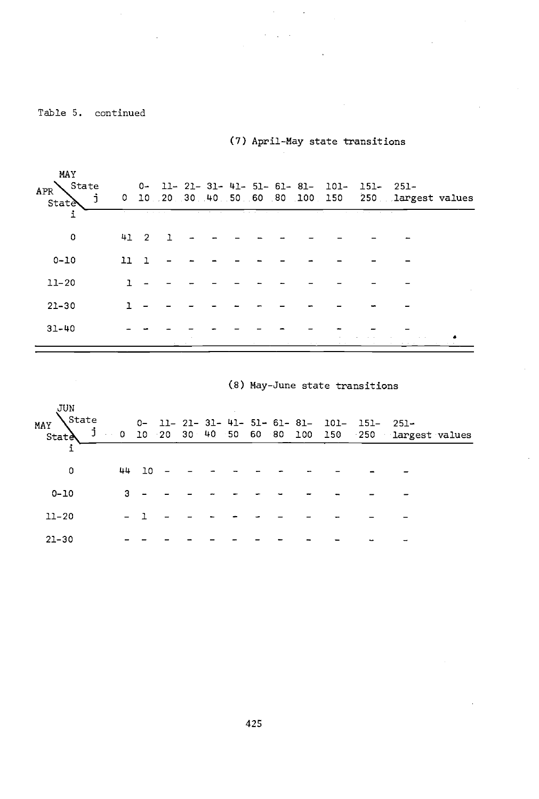(7) April -May state transitions

 $\sim$ 

| MAY<br>State<br>$\mbox{\sc APR}$<br>j<br>State | The Contract |          |  |  |  |  | 0- 11- 21- 31- 41- 51- 61- 81- 101- 151- 251-<br>0 10 20 30 40 50 60 80 100 150 250 1argest values |  |
|------------------------------------------------|--------------|----------|--|--|--|--|----------------------------------------------------------------------------------------------------|--|
| 0                                              |              | $41 \t2$ |  |  |  |  |                                                                                                    |  |
| $0 - 10$                                       | <b>TT</b>    |          |  |  |  |  |                                                                                                    |  |
| $11 - 20$                                      |              |          |  |  |  |  |                                                                                                    |  |
| $21 - 30$                                      |              |          |  |  |  |  |                                                                                                    |  |
| $31 - 40$                                      |              |          |  |  |  |  |                                                                                                    |  |
|                                                |              |          |  |  |  |  |                                                                                                    |  |

|  |  |  | (8) May-June state transitions |
|--|--|--|--------------------------------|
|--|--|--|--------------------------------|

| JUN<br>MAY State 0- 11-21-31-41-51-61-81-101-151-251-<br>State 1 0 10 20 30 40 50 60 80 100 150 250 largest values |   |       |  |  |  |  |  |  |
|--------------------------------------------------------------------------------------------------------------------|---|-------|--|--|--|--|--|--|
| 0                                                                                                                  |   | 44 10 |  |  |  |  |  |  |
| $0 - 10$                                                                                                           | 3 |       |  |  |  |  |  |  |
| $11 - 20$                                                                                                          |   |       |  |  |  |  |  |  |
| $21 - 30$                                                                                                          |   |       |  |  |  |  |  |  |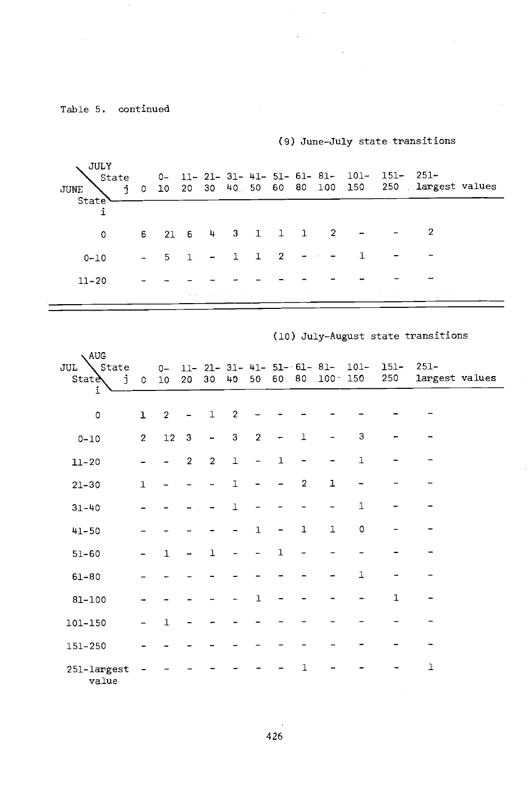## (9) June -July state transitions

 $\sim$   $\alpha$ 

 $\mathcal{C}=\sqrt{1-\lambda}$ 

| JULY<br>State<br>JUNE<br>State |                |          |                                 |  |                 |                                                             | $0-11-21-31-41-51-61-81-101-151-251-$ | $j$ 0 10 20 30 40 50 60 80 100 150 250 largest values |
|--------------------------------|----------------|----------|---------------------------------|--|-----------------|-------------------------------------------------------------|---------------------------------------|-------------------------------------------------------|
| $\circ$                        |                |          |                                 |  |                 |                                                             | $6$ 21 6 4 3 1 1 1 2 - - 2            |                                                       |
| $0 - 10$                       | <b>Service</b> |          |                                 |  |                 | $5 \quad 1 \quad - \quad 1 \quad 1 \quad 2 \quad - \quad -$ |                                       |                                                       |
| $11 - 20$                      |                |          |                                 |  |                 |                                                             |                                       |                                                       |
|                                |                | ALC: YES | the contract of the contract of |  | <b>Contract</b> |                                                             | the control of the                    | ALC: NO                                               |

## (10) July- August state transitions

| 、AUG                              |                |                |                |                 |                |                |              |                |                                      |                     |                |                           |
|-----------------------------------|----------------|----------------|----------------|-----------------|----------------|----------------|--------------|----------------|--------------------------------------|---------------------|----------------|---------------------------|
| State<br>JUL<br><b>State</b><br>j | $\circ$        | $0-$<br>$10$   | 20             | 30 <sub>o</sub> | 40             |                | 50 60        |                | $11 - 21 - 31 - 41 - 51 - 61 - 81 -$ | 101-<br>80 100 150  | $151 -$<br>250 | $251 -$<br>largest values |
| i                                 |                |                |                |                 |                |                |              |                |                                      |                     |                |                           |
| $\mathsf{o}\,$                    | ı              | $\overline{c}$ |                | $\mathbf 1$     | $\overline{2}$ |                |              |                |                                      |                     |                |                           |
| $0 - 10$                          | $\overline{2}$ | 12             | $\mathbf{3}$   | $\overline{a}$  | 3              | $\overline{2}$ |              | $\mathbf{1}$   |                                      | 3                   |                |                           |
| $11 - 20$                         |                |                | $\overline{2}$ | $\overline{2}$  | $\mathbf 1$    | $\overline{a}$ | $\mathbf{1}$ |                |                                      | $\mathbf 1$         |                |                           |
| $21 - 30$                         | $\mathbf{1}$   |                |                |                 | $\mathbf{1}$   |                |              | $\overline{2}$ | 1                                    |                     |                |                           |
| $31 - 40$                         |                |                |                |                 | $\mathbf{1}$   |                |              |                |                                      | $\mathbf 1$         |                |                           |
| $41 - 50$                         |                |                |                |                 |                | $\mathbf{1}$   |              | $\mathbf{1}$   | ı                                    | $\mathsf{O}\xspace$ |                |                           |
| $51 - 60$                         |                | $\mathbf{1}$   |                | $\mathbf{1}$    |                |                | $\mathbf{1}$ |                |                                      |                     |                |                           |
| $61 - 80$                         |                |                |                |                 |                |                |              |                |                                      | ı                   |                |                           |
| $81 - 100$                        |                |                |                |                 |                | $\mathbf{1}$   |              |                |                                      |                     | $\mathbf{I}$   |                           |
| 101-150                           |                | $\mathbf{I}$   |                |                 |                |                |              |                |                                      |                     |                |                           |
| 151-250                           |                |                |                |                 |                |                |              |                |                                      |                     |                |                           |
| 251-largest<br>value              |                |                |                |                 |                |                |              | 1              |                                      |                     |                | ı                         |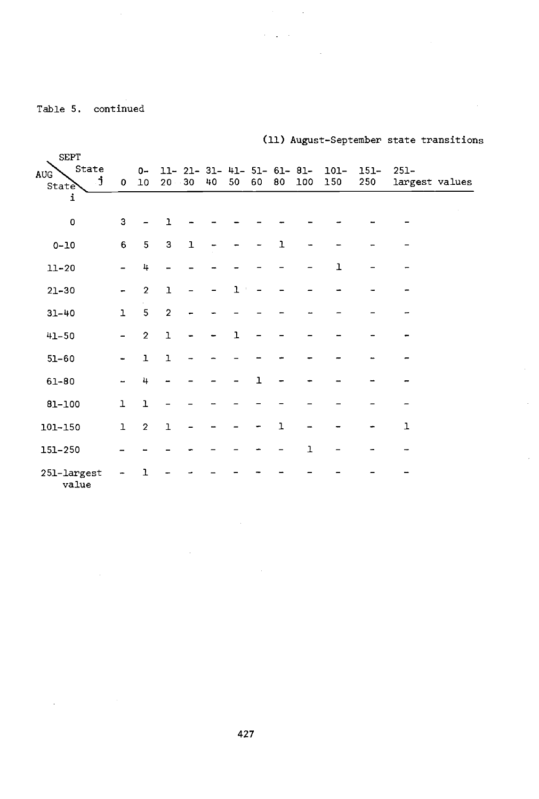$\Delta \sim 10^{11}$  and  $\Delta \sim 10^{11}$ 

## (11) August -September state transitions

 $\bar{z}$ 

 $\sim 10$ 

 $\mathcal{O}(\sqrt{2\pi\epsilon})$ 

| <b>SEPT</b><br>State<br><b>AUG</b><br>Ĵ.<br><b>State</b><br>i | $\mathbf{0}$             | $0-$<br>10     | 11- 21- 31- 41- 51- 61- 81-<br>$20 - 30$ |           | 40 | 50           | 60           | 80 | 100 | 101-<br>150 | $151 -$<br>250 | $251 -$<br>largest values |
|---------------------------------------------------------------|--------------------------|----------------|------------------------------------------|-----------|----|--------------|--------------|----|-----|-------------|----------------|---------------------------|
| $\circ$                                                       | 3                        |                | $\mathbf{1}$                             |           |    |              |              |    |     |             |                |                           |
| $0 - 10$                                                      | 6                        | 5              | 3                                        | ${\bf 1}$ |    |              |              | ı  |     |             |                |                           |
| $11 - 20$                                                     |                          | 4              |                                          |           |    |              |              |    |     | ı           |                |                           |
| $21 - 30$                                                     |                          | $\overline{2}$ | $\overline{1}$                           |           |    | 1            |              |    |     |             |                |                           |
| $31 - 40$                                                     | $\mathbf{1}$             | 5              | $\overline{2}$                           |           |    |              |              |    |     |             |                |                           |
| $41 - 50$                                                     | $\overline{\phantom{0}}$ | $\overline{2}$ | $\mathbf 1$                              |           |    | $\mathbf{1}$ |              |    |     |             |                |                           |
| $51 - 60$                                                     |                          | $\mathbf 1$    | $\mathbf 1$                              |           |    |              |              |    |     |             |                |                           |
| $61 - 80$                                                     |                          | 4              |                                          |           |    |              | $\mathbf{I}$ |    |     |             |                |                           |
| $81 - 100$                                                    | $\mathbf 1$              | $\mathbf{1}$   |                                          |           |    |              |              |    |     |             |                |                           |
| 101-150                                                       | $\mathbf 1$              | $\overline{2}$ | $\mathbf 1$                              |           |    |              |              | ı  |     |             |                | $\mathbf{1}$              |
| 151-250                                                       |                          |                |                                          |           |    |              |              |    | ı   |             |                |                           |
| 251-largest<br>value                                          |                          |                |                                          |           |    |              |              |    |     |             |                |                           |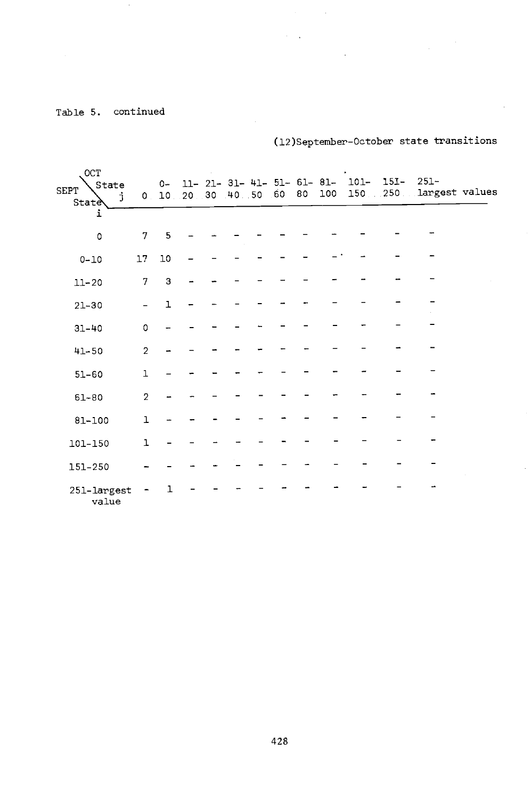(12)September- October state transitions

| OCT<br>State<br>SEPT<br>j<br>State |                | $0-$         | 0, 10, 20, 30, 40, 50, 60, 80 |  |  | 100 | $11-21-31-41-51-61-81-101-$<br>150 | $151 - 251 -$<br>250 Largest values |  |
|------------------------------------|----------------|--------------|-------------------------------|--|--|-----|------------------------------------|-------------------------------------|--|
| i<br>$\circ$                       | $\mathbf{7}$   | 5            |                               |  |  |     |                                    |                                     |  |
| $0 - 10$                           | 17             | 10           |                               |  |  |     |                                    |                                     |  |
| $11 - 20$                          | 7              | 3            |                               |  |  |     |                                    |                                     |  |
| $21 - 30$                          |                | $\mathbf{1}$ |                               |  |  |     |                                    |                                     |  |
| $31 - 40$                          | $\Omega$       |              |                               |  |  |     |                                    |                                     |  |
| $41 - 50$                          | $\overline{2}$ |              |                               |  |  |     |                                    |                                     |  |
| $51 - 60$                          | $\mathbf{1}$   |              |                               |  |  |     |                                    |                                     |  |
| $61 - 80$                          | $\overline{2}$ |              |                               |  |  |     |                                    |                                     |  |
| $81 - 100$                         | $\mathbf{1}$   |              |                               |  |  |     |                                    |                                     |  |
| 101-150                            | $\mathbf{1}$   |              |                               |  |  |     |                                    |                                     |  |
| 151-250                            |                |              |                               |  |  |     |                                    |                                     |  |
| $251 - \text{largest}$<br>value    |                |              |                               |  |  |     |                                    |                                     |  |

 $\mathcal{A}^{\text{c}}_{\text{c}}$  ,  $\mathcal{A}^{\text{c}}_{\text{c}}$  $\mathcal{O}(\mathcal{A})$  . The  $\mathcal{O}(\mathcal{A})$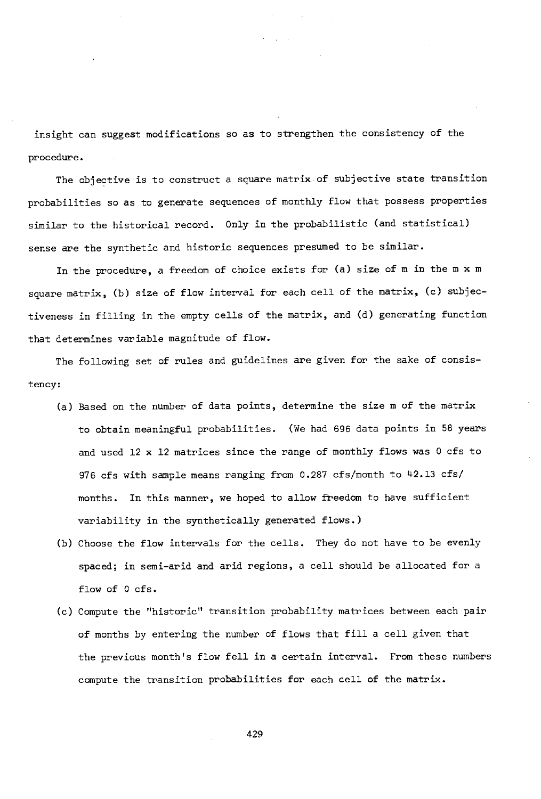insight can suggest modifications so as to strengthen the consistency of the procedure.

The objective is to construct a square matrix of subjective state transition probabilities so as to generate sequences of monthly flow that possess properties similar to the historical record. Only in the probabilistic (and statistical) sense are the synthetic and historic sequences presumed to be similar.

In the procedure, a freedom of choice exists for (a) size of m in the m x m square matrix, (b) size of flow interval for each cell of the matrix, (c) subjectiveness in filling in the empty cells of the matrix, and (d) generating function that determines variable magnitude of flow.

The following set of rules and guidelines are given for the sake of consistency:

- (a) Based on the number of data points, determine the size m of the matrix to obtain meaningful probabilities. (We had 696 data points in 58 years and used 12 x 12 matrices since the range of monthly flows was 0 cfs to 976 cfs with sample means ranging from 0.287 cfs /month to 42.13 cfs/ months. In this manner, we hoped to allow freedom to have sufficient variability in the synthetically generated flows.)
- (b) Choose the flow intervals for the cells. They do not have to be evenly spaced; in semi-arid and arid regions, a cell should be allocated for a flow of 0 cfs.
- (c) Compute the "historic" transition probability matrices between each pair of months by entering the number of flows that fill a cell given that the previous month's flow fell in a certain interval. From these numbers compute the transition probabilities for each cell of the matrix.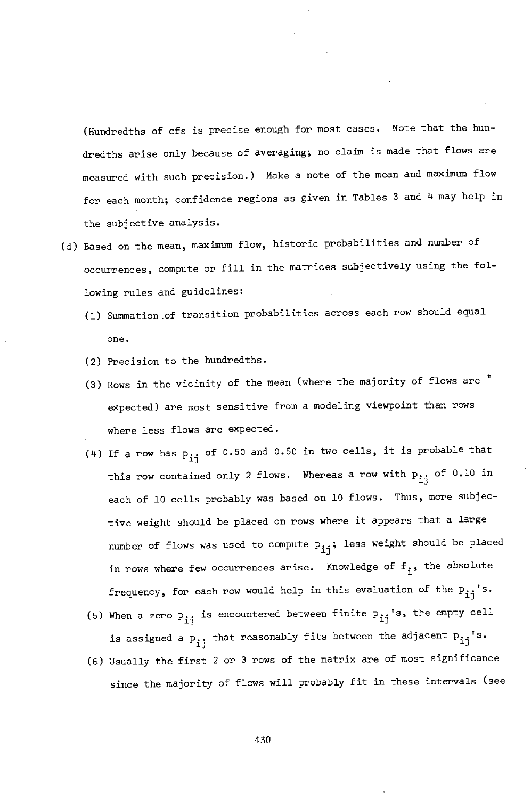(Hundredths of cfs is precise enough for most cases. Note that the hundredths arise only because of averaging; no claim is made that flows are measured with such precision.) Make a note of the mean and maximum flow for each month; confidence regions as given in Tables 3 and 4 may help in the subjective analysis.

- (d) Based on the mean, maximum flow, historic probabilities and number of occurrences, compute or fill in the matrices subjectively using the following rules and guidelines:
	- (1) Summation of transition probabilities across each row should equal one.
	- (2) Precision to the hundredths.
	- (3) Rows in the vicinity of the mean (where the majority of flows are expected) are most sensitive from a modeling viewpoint than rows where less flows are expected.
	- (4) If a row has p<sub>ij</sub> of 0.50 and 0.50 in two cells, it is probable that this row contained only 2 flows. Whereas a row with  $\mathtt{p_{ij}}$  of 0.10 in each of 10 cells probably was based on 10 flows. Thus, more subjective weight should be placed on rows where it appears that a large number of flows was used to compute  $p_{i,j}$ ; less weight should be placed in rows where few occurrences arise. Knowledge of  $f_i$ , the absolute frequency, for each row would help in this evaluation of the  $p_{i,j}$ 's.
	- (5) When a zero  $P_{j,i}$  is encountered between finite  $P_{i,i}$ 's, the empty cell is assigned a  $p_{i,j}$  that reasonably fits between the adjacent  $p_{j,j}$ 's.
	- (6) Usually the first 2 or 3 rows of the matrix are of most significance since the majority of flows will probably fit in these intervals (see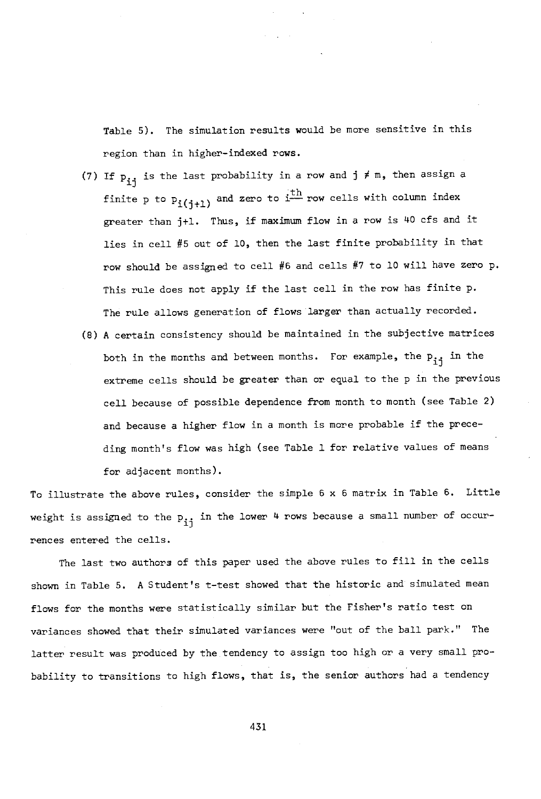Table 5). The simulation results would be more sensitive in this region than in higher- indexed rows.

- (7) If  $p_{i,j}$  is the last probability in a row and  $j \neq m$ , then assign a finite p to  $P_i(i+1)$  and zero to  $i<sup>th</sup>$  row cells with column index greater than jtl. Thus, if maximum flow in a row is 40 cfs and it lies in cell #5 out of 10, then the last finite probability in that row should be assigned to cell #6 and cells #7 to 10 will have zero p. This rule does not apply if the last cell in the row has finite p. The rule allows generation of flows larger than actually recorded.
- (8) A certain consistency should be maintained in the subjective matrices both in the months and between months. For example, the  $p_{i,j}$  in the extreme cells should be greater than or equal to the p in the previous cell because of possible dependence from month to month (see Table 2) and because a higher flow in a month is more probable if the preceding month's flow was high (see Table 1 for relative values of means for adjacent months).

To illustrate the above rules, consider the simple 6 x 6 matrix in Table 6. Little weight is assigned to the  $p_{11}$  in the lower 4 rows because a small number of occurrences entered the cells.

The last two authors of this paper used the above rules to fill in the cells shown in Table 5. A Student's t -test showed that the historic and simulated mean flows for the months were statistically similar but the Fisher's ratio test on variances showed that their simulated variances were "out of the ball park." The latter result was produced by the tendency to assign too high or a very small probability to transitions to high flows, that is, the senior authors had a tendency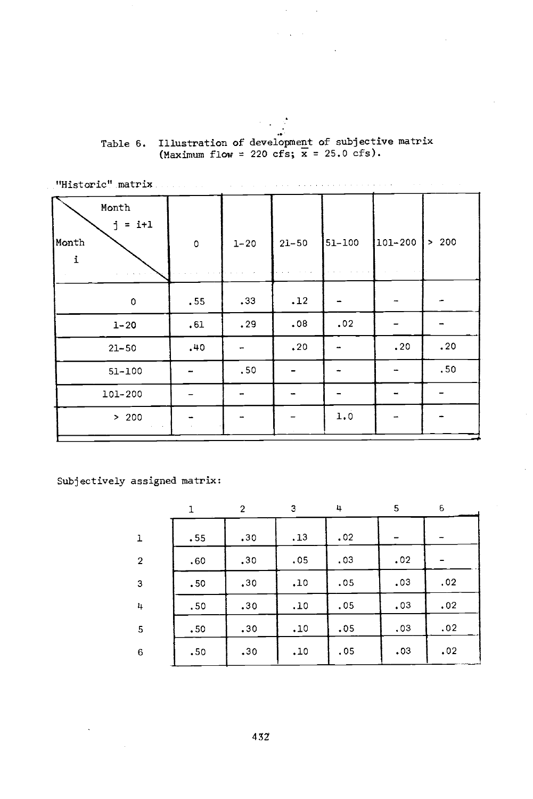# Table 6. Illustration of development of subjective matrix<br>(Maximum flow = 220 cfs;  $\bar{x}$  = 25.0 cfs).

| "Historic" matrix.                  |         |          |           |        |         | the company of the company of the |
|-------------------------------------|---------|----------|-----------|--------|---------|-----------------------------------|
| Month<br>$= i+1$<br>i<br>Month<br>i | $\circ$ | $1 - 20$ | $21 - 50$ | 51-100 | 101-200 | > 200                             |
|                                     |         |          |           |        |         |                                   |
| $\mathbf 0$                         | .55     | .33      | .12       |        |         |                                   |
| $1 - 20$                            | .61     | .29      | .08       | .02    |         |                                   |
| $21 - 50$                           | .40     |          | .20       |        | .20     | .20                               |
| $51 - 100$                          |         | .50      |           |        |         | .50                               |
| 101-200                             |         |          |           |        |         | -                                 |
| > 200                               |         |          |           | 1.0    |         |                                   |
|                                     |         |          |           |        |         |                                   |

Subjectively assigned matrix:

|                |     | $\overline{2}$ | 3   | 4   | 5   | 6   |  |
|----------------|-----|----------------|-----|-----|-----|-----|--|
| ı              | .55 | .30            | .13 | .02 |     |     |  |
| $\overline{2}$ | .60 | .30            | .05 | .03 | .02 |     |  |
| 3              | .50 | .30            | .10 | .05 | .03 | .02 |  |
| 4              | .50 | .30            | .10 | .05 | .03 | .02 |  |
| 5              | .50 | .30            | .10 | .05 | .03 | .02 |  |
| 6              | .50 | .30            | .10 | .05 | .03 | .02 |  |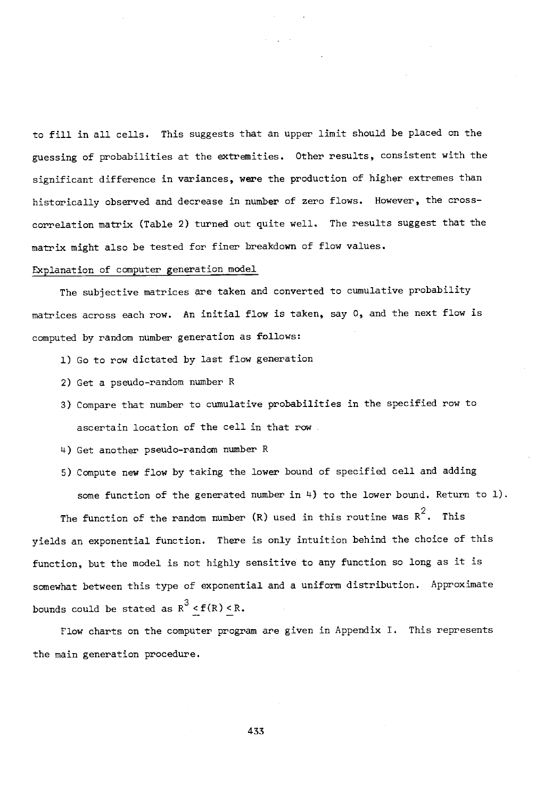to fill in all cells. This suggests that an upper limit should be placed on the guessing of probabilities at the extremities. Other results, consistent with the significant difference in variances, were the production of higher extremes than historically observed and decrease in number of zero flows. However, the crosscorrelation matrix (Table 2) turned out quite well. The results suggest that the matrix might also be tested for finer breakdown of flow values.

#### Explanation of computer generation model

The subjective matrices are taken and converted to cumulative probability matrices across each row. An initial flow is taken, say 0, and the next flow is computed by random number generation as follows:

- 1) Go to row dictated by last flow generation
- 2) Get a pseudo-random number R
- 3) Compare that number to cumulative probabilities in the specified row to ascertain location of the cell in that row
- 4) Get another pseudo-random number R
- 5) Compute new flow by taking the lower bound of specified cell and adding some function of the generated number in 4) to the lower bound. Return to 1).

The function of the random number  $(R)$  used in this routine was  $R^2$ . This yields an exponential function. There is only intuition behind the choice of this function, but the model is not highly sensitive to any function so long as it is somewhat between this type of exponential and a uniform distribution. Approximate bounds could be stated as  $R^3 < f(R) < R$ .

Flow charts on the computer program are given in Appendix I. This represents the main generation procedure.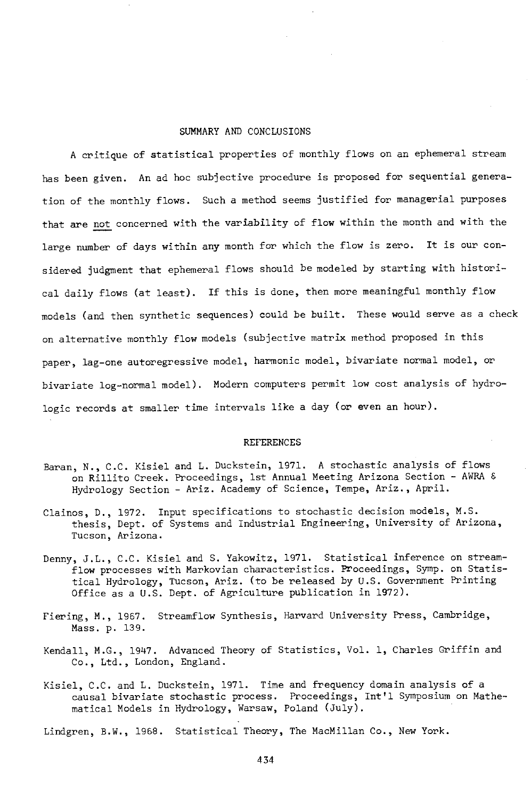#### SUMMARY AND CONCLUSIONS

A critique of statistical properties of monthly flows on an ephemeral stream has been given. An ad hoc subjective procedure is proposed for sequential generation of the monthly flows. Such a method seems justified for managerial purposes that are not concerned with the variability of flow within the month and with the large number of days within any month for which the flow is zero. It is our considered judgment that ephemeral flows should be modeled by starting with historical daily flows (at least). If this is done, then more meaningful monthly flow models (and then synthetic sequences) could be built. These would serve as a check on alternative monthly flow models (subjective matrix method proposed in this paper, lag-one autoregressive model, harmonic model, bivariate normal model, or bivariate log-normal model). Modern computers permit low cost analysis of hydrologic records at smaller time intervals like a day (or even an hour).

#### REFERENCES

- Baran, N., C.C. Kisiel and L. Duckstein, 1971. A stochastic analysis of flows on Rillito Creek. Proceedings, 1st Annual Meeting Arizona Section - AWRA & Hydrology Section - Ariz. Academy of Science, Tempe, Ariz., April.
- Clainos, D., 1972. Input specifications to stochastic decision models, M.S. thesis, Dept. of Systems and Industrial Engineering, University of Arizona, Tucson, Arizona.
- Denny, J.L., C.C. Kisiel and S. Yakowitz, 1971. Statistical inference on streamflow processes with Markovian characteristics. Proceedings, Symp. on Statistical Hydrology, Tucson, Ariz. (to be released by U.S. Government Printing Office as a U.S. Dept. of Agriculture publication in 1972).
- Fiering, M., 1967. Streamflow Synthesis, Harvard University Press, Cambridge, Mass. p. 139.
- Kendall, M.G., 1947. Advanced Theory of Statistics, Vol. 1, Charles Griffin and Co., Ltd., London, England.
- Kisiel, C.C. and L. Duckstein, 1971. Time and frequency domain analysis of a causal bivariate stochastic process. Proceedings, Int'l Symposium on Mathematical Models in Hydrology, Warsaw, Poland (July).

Lindgren, B.W., 1968. Statistical Theory, The MacMillan Co., New York.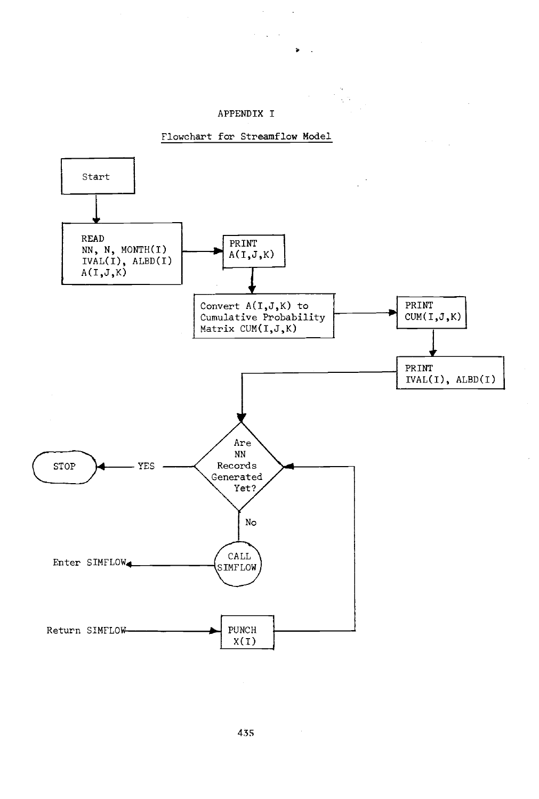#### APPENDIX I

 $\bar{z}$ 

 $\alpha = \sqrt{1-\alpha}$ 

 $\sim$   $\alpha$ 

 $\sim$ 

a sa P



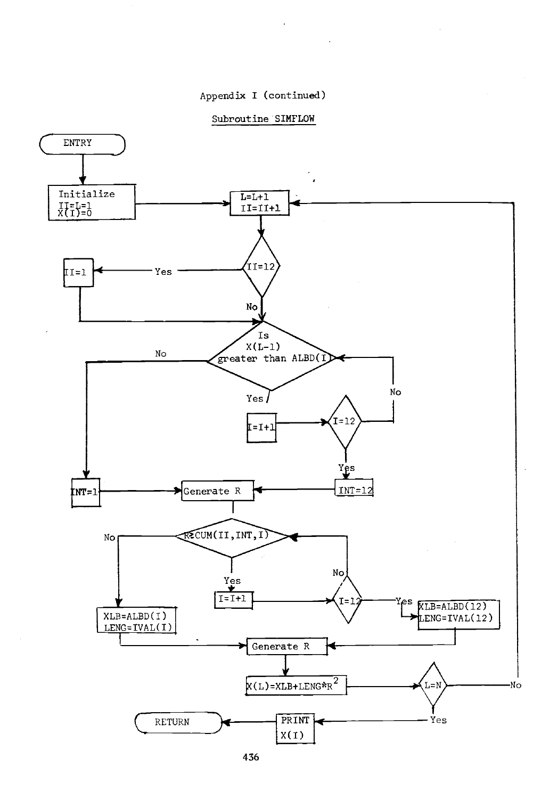## Appendix I (continued)

#### Subroutine SIMFLOW